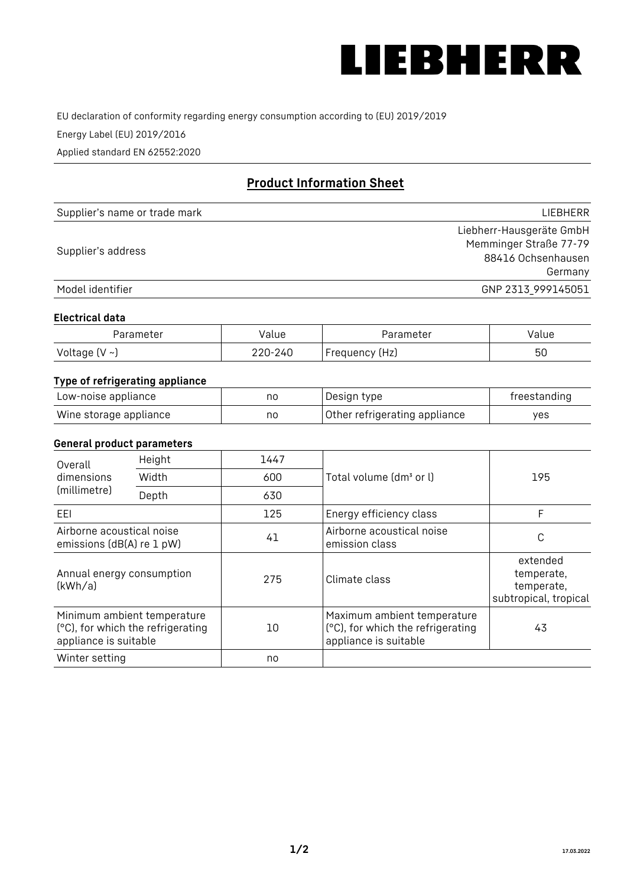

EU declaration of conformity regarding energy consumption according to (EU) 2019/2019

Energy Label (EU) 2019/2016

Applied standard EN 62552:2020

# **Product Information Sheet**

| Supplier's name or trade mark | <b>LIFBHFRR</b>          |
|-------------------------------|--------------------------|
|                               | Liebherr-Hausgeräte GmbH |
| Supplier's address            | Memminger Straße 77-79   |
|                               | 88416 Ochsenhausen       |
|                               | Germany                  |
| Model identifier              | GNP 2313 999145051       |

#### **Electrical data**

| Parameter           | Value   | Parameter      | Value |
|---------------------|---------|----------------|-------|
| Voltage (V $\sim$ ) | 220-240 | Frequency (Hz) | 50    |

# **Type of refrigerating appliance**

| Low-noise appliance    | nc | Design type                   | freestanding |
|------------------------|----|-------------------------------|--------------|
| Wine storage appliance | nc | Other refrigerating appliance | ves          |

## **General product parameters**

| Height<br>Overall                                      |                                                                  | 1447 |                                                                                           |                                                               |
|--------------------------------------------------------|------------------------------------------------------------------|------|-------------------------------------------------------------------------------------------|---------------------------------------------------------------|
| dimensions<br>(millimetre)                             | Width                                                            | 600  | Total volume (dm <sup>3</sup> or l)                                                       | 195                                                           |
|                                                        | Depth                                                            | 630  |                                                                                           |                                                               |
| EEL                                                    |                                                                  | 125  | Energy efficiency class                                                                   | F                                                             |
| Airborne acoustical noise<br>emissions (dB(A) re 1 pW) |                                                                  | 41   | Airborne acoustical noise<br>emission class                                               | C                                                             |
| Annual energy consumption<br>(kWh/a)                   |                                                                  | 275  | Climate class                                                                             | extended<br>temperate,<br>temperate,<br>subtropical, tropical |
| appliance is suitable                                  | Minimum ambient temperature<br>(°C), for which the refrigerating | 10   | Maximum ambient temperature<br>(°C), for which the refrigerating<br>appliance is suitable | 43                                                            |
| Winter setting                                         |                                                                  | no   |                                                                                           |                                                               |